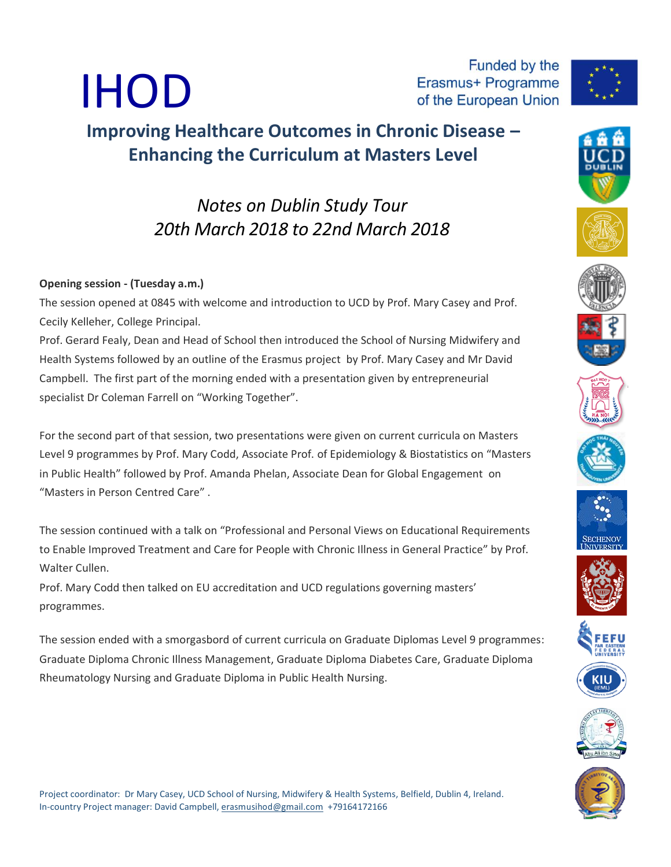## IHOD of the European Union **Improving Healthcare Outcomes in Chronic Disease –**

*Notes on Dublin Study Tour 20th March 2018 to 22nd March 2018*

**Enhancing the Curriculum at Masters Level**

## **Opening session - (Tuesday a.m.)**

The session opened at 0845 with welcome and introduction to UCD by Prof. Mary Casey and Prof. Cecily Kelleher, College Principal.

Prof. Gerard Fealy, Dean and Head of School then introduced the School of Nursing Midwifery and Health Systems followed by an outline of the Erasmus project by Prof. Mary Casey and Mr David Campbell. The first part of the morning ended with a presentation given by entrepreneurial specialist Dr Coleman Farrell on "Working Together".

For the second part of that session, two presentations were given on current curricula on Masters Level 9 programmes by Prof. Mary Codd, Associate Prof. of Epidemiology & Biostatistics on "Masters in Public Health" followed by Prof. Amanda Phelan, Associate Dean for Global Engagement on "Masters in Person Centred Care" .

The session continued with a talk on "Professional and Personal Views on Educational Requirements to Enable Improved Treatment and Care for People with Chronic Illness in General Practice" by Prof. Walter Cullen.

Prof. Mary Codd then talked on EU accreditation and UCD regulations governing masters' programmes.

The session ended with a smorgasbord of current curricula on Graduate Diplomas Level 9 programmes: [Graduate Diploma Chronic Illness Management,](https://www.nmhs.ucd.ie/study-with-us/graduate-programmes/courses/graduate-diploma-chronic-illness-management) [Graduate Diploma Diabetes Care,](https://www.nmhs.ucd.ie/study-with-us/graduate-programmes/courses/graduate-diploma-diabetes-care) [Graduate Diploma](https://www.nmhs.ucd.ie/study-with-us/graduate-programmes/courses/graduate-diploma-rheumatology-nursing)  [Rheumatology Nursing](https://www.nmhs.ucd.ie/study-with-us/graduate-programmes/courses/graduate-diploma-rheumatology-nursing) and Graduate Diploma in Public Health Nursing.













Funded by the

Erasmus+ Programme









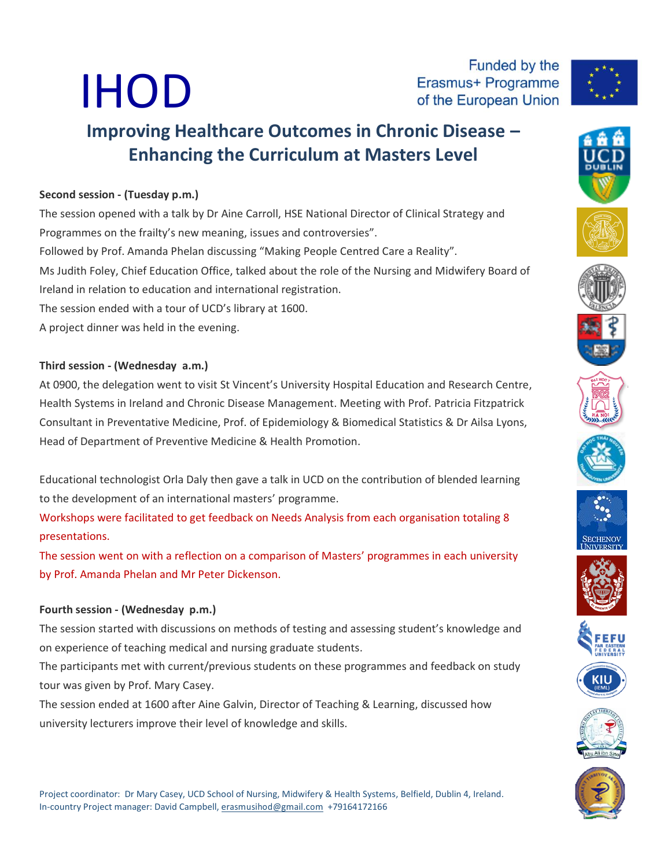# IHOD

Funded by the Erasmus+ Programme of the European Union



# **Improving Healthcare Outcomes in Chronic Disease – Enhancing the Curriculum at Masters Level**

## **Second session - (Tuesday p.m.)**

The session opened with a talk by Dr Aine Carroll, HSE National Director of Clinical Strategy and Programmes on the frailty's new meaning, issues and controversies". Followed by Prof. Amanda Phelan discussing "Making People Centred Care a Reality". Ms Judith Foley, Chief Education Office, talked about the role of the Nursing and Midwifery Board of Ireland in relation to education and international registration. The session ended with a tour of UCD's library at 1600. A project dinner was held in the evening.

#### **Third session - (Wednesday a.m.)**

At 0900, the delegation went to visit St Vincent's University Hospital Education and Research Centre, Health Systems in Ireland and Chronic Disease Management. Meeting with Prof. Patricia Fitzpatrick Consultant in Preventative Medicine, Prof. of Epidemiology & Biomedical Statistics & Dr Ailsa Lyons, Head of Department of Preventive Medicine & Health Promotion.

Educational technologist Orla Daly then gave a talk in UCD on the contribution of blended learning to the development of an international masters' programme.

Workshops were facilitated to get feedback on Needs Analysis from each organisation totaling 8 presentations.

The session went on with a reflection on a comparison of Masters' programmes in each university by Prof. Amanda Phelan and Mr Peter Dickenson.

#### **Fourth session - (Wednesday p.m.)**

The session started with discussions on methods of testing and assessing student's knowledge and on experience of teaching medical and nursing graduate students.

The participants met with current/previous students on these programmes and feedback on study tour was given by Prof. Mary Casey.

The session ended at 1600 after Aine Galvin, Director of Teaching & Learning, discussed how university lecturers improve their level of knowledge and skills.